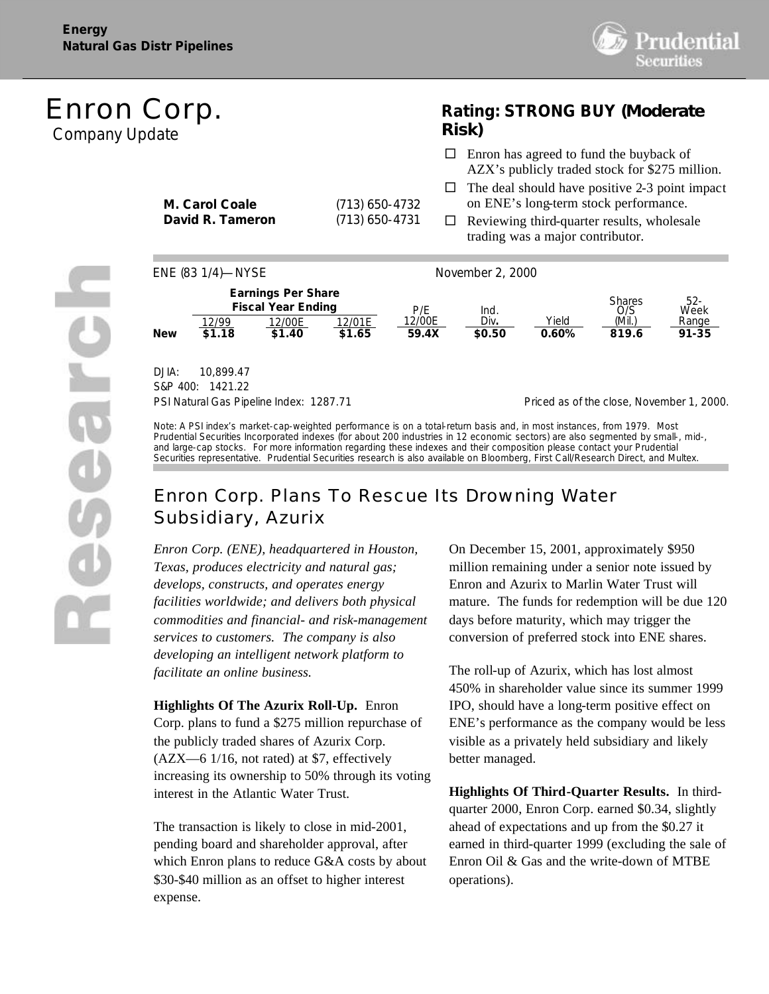

# *Enron Corp.* Company Update

## **Rating: STRONG BUY** *(Moderate Risk)*

 $\square$  Enron has agreed to fund the buyback of

**M. Carol Coale** (713) 650-4732 **David R. Tameron** (713) 650-4731 AZX's publicly traded stock for \$275 million.  $\Box$  The deal should have positive 2-3 point impact on ENE's long-term stock performance.  $\Box$  Reviewing third-quarter results, wholesale trading was a major contributor.



DJIA: 10,899.47 S&P 400: 1421.22

PSI Natural Gas Pipeline Index: 1287.71 Priced as of the close, November 1, 2000.

Note: A PSI index's market-cap-weighted performance is on a total-return basis and, in most instances, from 1979. Most Prudential Securities Incorporated indexes (for about 200 industries in 12 economic sectors) are also segmented by small-, mid-, and large-cap stocks. For more information regarding these indexes and their composition please contact your Prudential Securities representative. Prudential Securities research is also available on Bloomberg, First Call/Research Direct, and Multex.

## *Enron Corp. Plans To Rescue Its Drowning Water Subsidiary, Azurix*

*Enron Corp. (ENE), headquartered in Houston, Texas, produces electricity and natural gas; develops, constructs, and operates energy facilities worldwide; and delivers both physical commodities and financial- and risk-management services to customers. The company is also developing an intelligent network platform to facilitate an online business.*

**Highlights Of The Azurix Roll-Up.** Enron Corp. plans to fund a \$275 million repurchase of the publicly traded shares of Azurix Corp. (AZX—6 1/16, not rated) at \$7, effectively increasing its ownership to 50% through its voting interest in the Atlantic Water Trust.

The transaction is likely to close in mid-2001, pending board and shareholder approval, after which Enron plans to reduce G&A costs by about \$30-\$40 million as an offset to higher interest expense.

On December 15, 2001, approximately \$950 million remaining under a senior note issued by Enron and Azurix to Marlin Water Trust will mature. The funds for redemption will be due 120 days before maturity, which may trigger the conversion of preferred stock into ENE shares.

The roll-up of Azurix, which has lost almost 450% in shareholder value since its summer 1999 IPO, should have a long-term positive effect on ENE's performance as the company would be less visible as a privately held subsidiary and likely better managed.

**Highlights Of Third-Quarter Results.** In thirdquarter 2000, Enron Corp. earned \$0.34, slightly ahead of expectations and up from the \$0.27 it earned in third-quarter 1999 (excluding the sale of Enron Oil & Gas and the write-down of MTBE operations).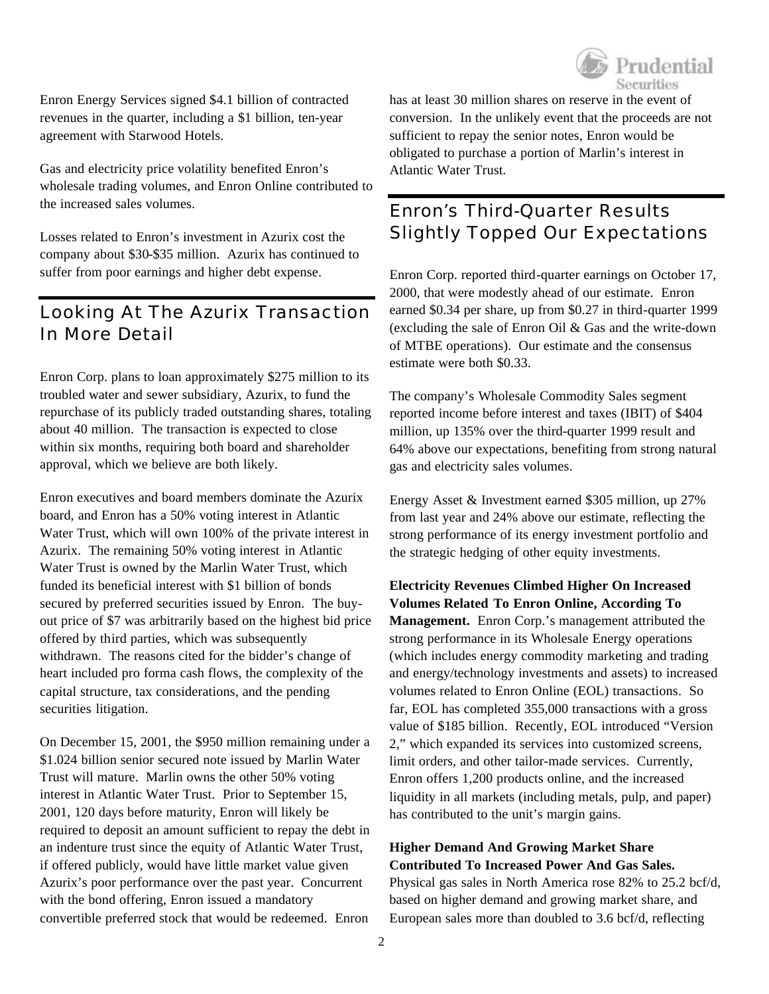

Enron Energy Services signed \$4.1 billion of contracted revenues in the quarter, including a \$1 billion, ten-year agreement with Starwood Hotels.

Gas and electricity price volatility benefited Enron's wholesale trading volumes, and Enron Online contributed to the increased sales volumes.

Losses related to Enron's investment in Azurix cost the company about \$30-\$35 million. Azurix has continued to suffer from poor earnings and higher debt expense.

## *Looking At The Azurix Transaction In More Detail*

Enron Corp. plans to loan approximately \$275 million to its troubled water and sewer subsidiary, Azurix, to fund the repurchase of its publicly traded outstanding shares, totaling about 40 million. The transaction is expected to close within six months, requiring both board and shareholder approval, which we believe are both likely.

Enron executives and board members dominate the Azurix board, and Enron has a 50% voting interest in Atlantic Water Trust, which will own 100% of the private interest in Azurix. The remaining 50% voting interest in Atlantic Water Trust is owned by the Marlin Water Trust, which funded its beneficial interest with \$1 billion of bonds secured by preferred securities issued by Enron. The buyout price of \$7 was arbitrarily based on the highest bid price offered by third parties, which was subsequently withdrawn. The reasons cited for the bidder's change of heart included pro forma cash flows, the complexity of the capital structure, tax considerations, and the pending securities litigation.

On December 15, 2001, the \$950 million remaining under a \$1.024 billion senior secured note issued by Marlin Water Trust will mature. Marlin owns the other 50% voting interest in Atlantic Water Trust. Prior to September 15, 2001, 120 days before maturity, Enron will likely be required to deposit an amount sufficient to repay the debt in an indenture trust since the equity of Atlantic Water Trust, if offered publicly, would have little market value given Azurix's poor performance over the past year. Concurrent with the bond offering, Enron issued a mandatory convertible preferred stock that would be redeemed. Enron

has at least 30 million shares on reserve in the event of conversion. In the unlikely event that the proceeds are not sufficient to repay the senior notes, Enron would be obligated to purchase a portion of Marlin's interest in Atlantic Water Trust.

## *Enron's Third-Quarter Results Slightly Topped Our Expectations*

Enron Corp. reported third-quarter earnings on October 17, 2000, that were modestly ahead of our estimate. Enron earned \$0.34 per share, up from \$0.27 in third-quarter 1999 (excluding the sale of Enron Oil & Gas and the write-down of MTBE operations). Our estimate and the consensus estimate were both \$0.33.

The company's Wholesale Commodity Sales segment reported income before interest and taxes (IBIT) of \$404 million, up 135% over the third-quarter 1999 result and 64% above our expectations, benefiting from strong natural gas and electricity sales volumes.

Energy Asset & Investment earned \$305 million, up 27% from last year and 24% above our estimate, reflecting the strong performance of its energy investment portfolio and the strategic hedging of other equity investments.

**Electricity Revenues Climbed Higher On Increased Volumes Related To Enron Online, According To Management.** Enron Corp.'s management attributed the strong performance in its Wholesale Energy operations (which includes energy commodity marketing and trading and energy/technology investments and assets) to increased volumes related to Enron Online (EOL) transactions. So far, EOL has completed 355,000 transactions with a gross value of \$185 billion. Recently, EOL introduced "Version 2," which expanded its services into customized screens, limit orders, and other tailor-made services. Currently, Enron offers 1,200 products online, and the increased liquidity in all markets (including metals, pulp, and paper) has contributed to the unit's margin gains.

**Higher Demand And Growing Market Share Contributed To Increased Power And Gas Sales.** Physical gas sales in North America rose 82% to 25.2 bcf/d, based on higher demand and growing market share, and European sales more than doubled to 3.6 bcf/d, reflecting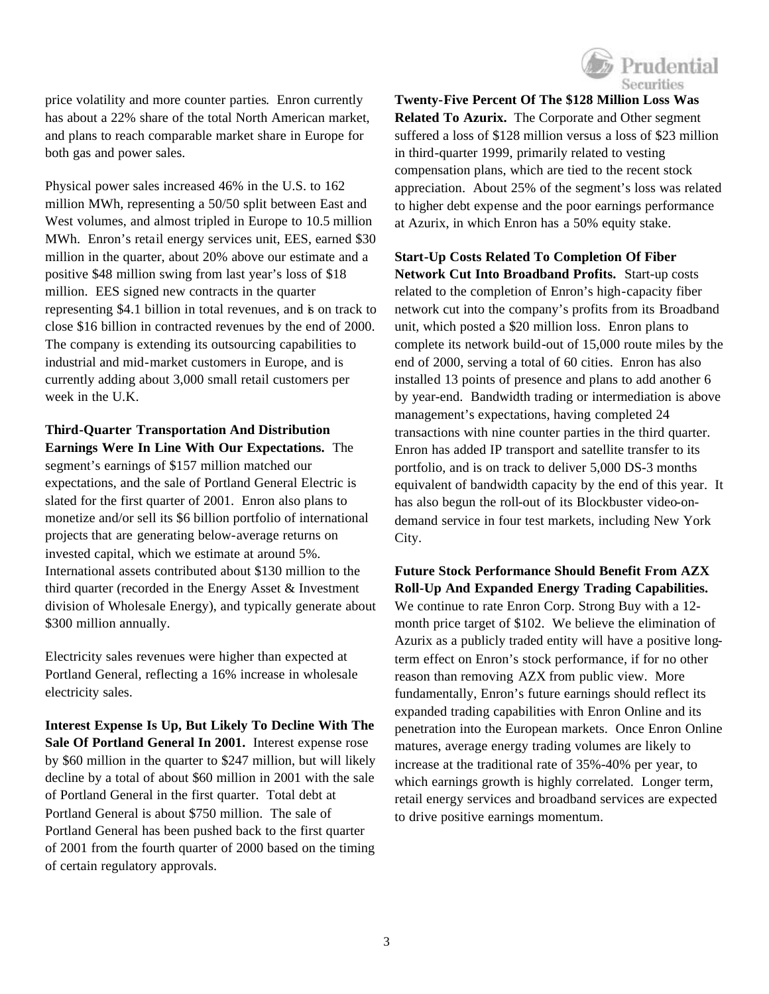

price volatility and more counter parties. Enron currently has about a 22% share of the total North American market, and plans to reach comparable market share in Europe for both gas and power sales.

Physical power sales increased 46% in the U.S. to 162 million MWh, representing a 50/50 split between East and West volumes, and almost tripled in Europe to 10.5 million MWh. Enron's retail energy services unit, EES, earned \$30 million in the quarter, about 20% above our estimate and a positive \$48 million swing from last year's loss of \$18 million. EES signed new contracts in the quarter representing \$4.1 billion in total revenues, and is on track to close \$16 billion in contracted revenues by the end of 2000. The company is extending its outsourcing capabilities to industrial and mid-market customers in Europe, and is currently adding about 3,000 small retail customers per week in the U.K.

**Third-Quarter Transportation And Distribution Earnings Were In Line With Our Expectations.** The segment's earnings of \$157 million matched our expectations, and the sale of Portland General Electric is slated for the first quarter of 2001. Enron also plans to monetize and/or sell its \$6 billion portfolio of international projects that are generating below-average returns on invested capital, which we estimate at around 5%. International assets contributed about \$130 million to the third quarter (recorded in the Energy Asset & Investment division of Wholesale Energy), and typically generate about \$300 million annually.

Electricity sales revenues were higher than expected at Portland General, reflecting a 16% increase in wholesale electricity sales.

**Interest Expense Is Up, But Likely To Decline With The Sale Of Portland General In 2001.** Interest expense rose by \$60 million in the quarter to \$247 million, but will likely decline by a total of about \$60 million in 2001 with the sale of Portland General in the first quarter. Total debt at Portland General is about \$750 million. The sale of Portland General has been pushed back to the first quarter of 2001 from the fourth quarter of 2000 based on the timing of certain regulatory approvals.

**Twenty-Five Percent Of The \$128 Million Loss Was Related To Azurix.** The Corporate and Other segment suffered a loss of \$128 million versus a loss of \$23 million in third-quarter 1999, primarily related to vesting compensation plans, which are tied to the recent stock appreciation. About 25% of the segment's loss was related to higher debt expense and the poor earnings performance at Azurix, in which Enron has a 50% equity stake.

**Start-Up Costs Related To Completion Of Fiber Network Cut Into Broadband Profits.** Start-up costs related to the completion of Enron's high-capacity fiber network cut into the company's profits from its Broadband unit, which posted a \$20 million loss. Enron plans to complete its network build-out of 15,000 route miles by the end of 2000, serving a total of 60 cities. Enron has also installed 13 points of presence and plans to add another 6 by year-end. Bandwidth trading or intermediation is above management's expectations, having completed 24 transactions with nine counter parties in the third quarter. Enron has added IP transport and satellite transfer to its portfolio, and is on track to deliver 5,000 DS-3 months equivalent of bandwidth capacity by the end of this year. It has also begun the roll-out of its Blockbuster video-ondemand service in four test markets, including New York City.

**Future Stock Performance Should Benefit From AZX Roll-Up And Expanded Energy Trading Capabilities.** We continue to rate Enron Corp. Strong Buy with a 12 month price target of \$102. We believe the elimination of Azurix as a publicly traded entity will have a positive longterm effect on Enron's stock performance, if for no other reason than removing AZX from public view. More fundamentally, Enron's future earnings should reflect its expanded trading capabilities with Enron Online and its penetration into the European markets. Once Enron Online matures, average energy trading volumes are likely to increase at the traditional rate of 35%-40% per year, to which earnings growth is highly correlated. Longer term, retail energy services and broadband services are expected to drive positive earnings momentum.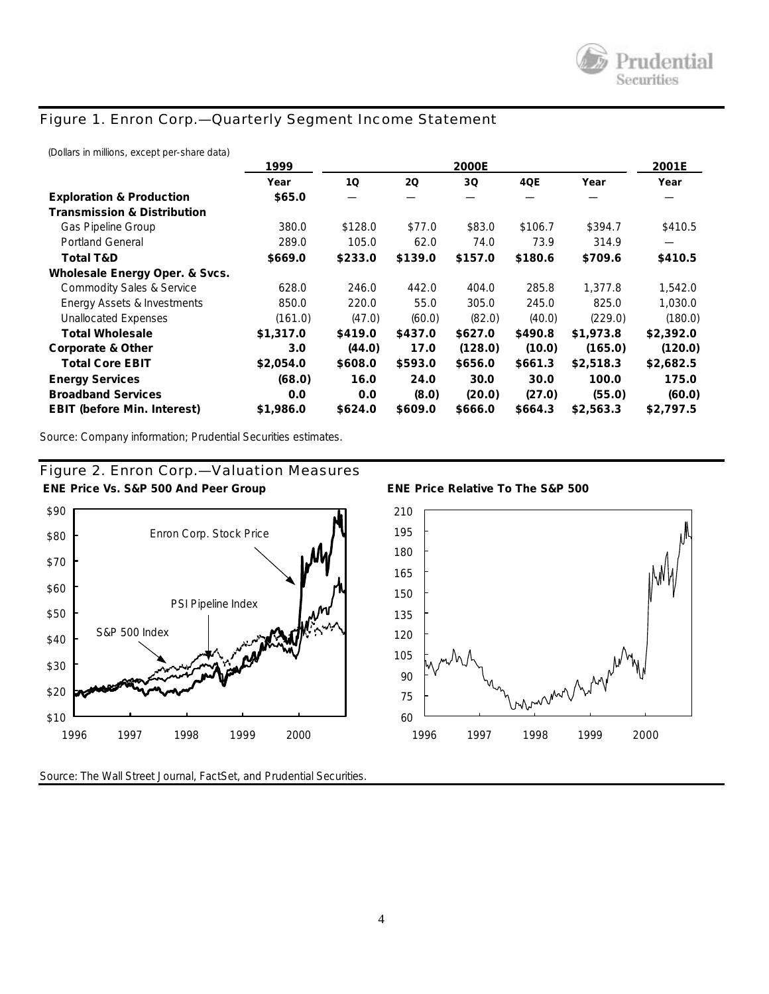## *Figure 1. Enron Corp.—Quarterly Segment Income Statement*

(Dollars in millions, except per-share data)

|                                        | 1999      |         | 2001E   |         |         |           |           |
|----------------------------------------|-----------|---------|---------|---------|---------|-----------|-----------|
|                                        | Year      | 10      | 2Q      | 3Q      | 4QE     | Year      | Year      |
| <b>Exploration &amp; Production</b>    | \$65.0    |         |         |         |         |           |           |
| <b>Transmission &amp; Distribution</b> |           |         |         |         |         |           |           |
| Gas Pipeline Group                     | 380.0     | \$128.0 | \$77.0  | \$83.0  | \$106.7 | \$394.7   | \$410.5   |
| <b>Portland General</b>                | 289.0     | 105.0   | 62.0    | 74.0    | 73.9    | 314.9     |           |
| <b>Total T&amp;D</b>                   | \$669.0   | \$233.0 | \$139.0 | \$157.0 | \$180.6 | \$709.6   | \$410.5   |
| Wholesale Energy Oper. & Svcs.         |           |         |         |         |         |           |           |
| <b>Commodity Sales &amp; Service</b>   | 628.0     | 246.0   | 442.0   | 404.0   | 285.8   | 1,377.8   | 1,542.0   |
| Energy Assets & Investments            | 850.0     | 220.0   | 55.0    | 305.0   | 245.0   | 825.0     | 1,030.0   |
| <b>Unallocated Expenses</b>            | (161.0)   | (47.0)  | (60.0)  | (82.0)  | (40.0)  | (229.0)   | (180.0)   |
| <b>Total Wholesale</b>                 | \$1,317.0 | \$419.0 | \$437.0 | \$627.0 | \$490.8 | \$1,973.8 | \$2,392.0 |
| Corporate & Other                      | 3.0       | (44.0)  | 17.0    | (128.0) | (10.0)  | (165.0)   | (120.0)   |
| <b>Total Core EBIT</b>                 | \$2,054.0 | \$608.0 | \$593.0 | \$656.0 | \$661.3 | \$2,518.3 | \$2,682.5 |
| <b>Energy Services</b>                 | (68.0)    | 16.0    | 24.0    | 30.0    | 30.0    | 100.0     | 175.0     |
| <b>Broadband Services</b>              | 0.0       | 0.0     | (8.0)   | (20.0)  | (27.0)  | (55.0)    | (60.0)    |
| <b>EBIT (before Min. Interest)</b>     | \$1,986.0 | \$624.0 | \$609.0 | \$666.0 | \$664.3 | \$2,563.3 | \$2,797.5 |

Source: Company information; Prudential Securities estimates.





Source: *The Wall Street Journal,* FactSet, and Prudential Securities.



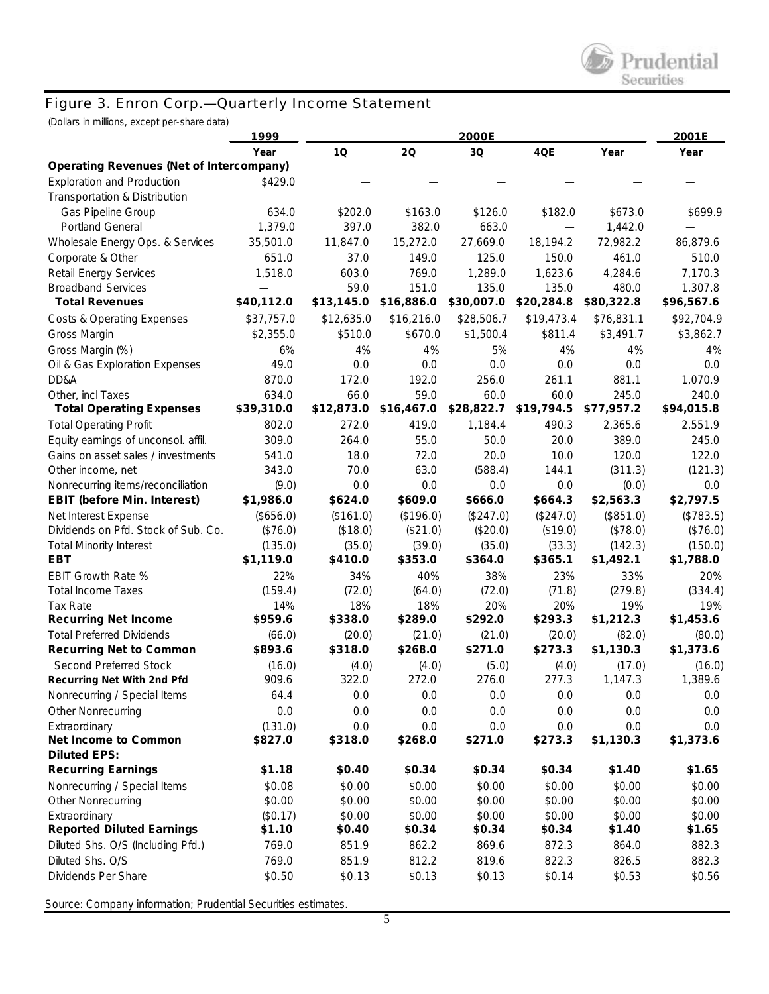#### *Figure 3. Enron Corp.—Quarterly Income Statement*

(Dollars in millions, except per-share data)

|                                                 | 1999       |            | 2001E      |            |            |            |            |
|-------------------------------------------------|------------|------------|------------|------------|------------|------------|------------|
|                                                 | Year       | 10         | 20         | 3Q         | 4QE        | Year       | Year       |
| <b>Operating Revenues (Net of Intercompany)</b> |            |            |            |            |            |            |            |
| <b>Exploration and Production</b>               | \$429.0    |            |            |            |            |            |            |
| Transportation & Distribution                   |            |            |            |            |            |            |            |
| Gas Pipeline Group                              | 634.0      | \$202.0    | \$163.0    | \$126.0    | \$182.0    | \$673.0    | \$699.9    |
| <b>Portland General</b>                         | 1,379.0    | 397.0      | 382.0      | 663.0      |            | 1,442.0    |            |
| Wholesale Energy Ops. & Services                | 35,501.0   | 11,847.0   | 15,272.0   | 27,669.0   | 18,194.2   | 72,982.2   | 86,879.6   |
| Corporate & Other                               | 651.0      | 37.0       | 149.0      | 125.0      | 150.0      | 461.0      | 510.0      |
| <b>Retail Energy Services</b>                   | 1,518.0    | 603.0      | 769.0      | 1,289.0    | 1,623.6    | 4,284.6    | 7,170.3    |
| <b>Broadband Services</b>                       |            | 59.0       | 151.0      | 135.0      | 135.0      | 480.0      | 1,307.8    |
| <b>Total Revenues</b>                           | \$40,112.0 | \$13,145.0 | \$16,886.0 | \$30,007.0 | \$20,284.8 | \$80,322.8 | \$96,567.6 |
| <b>Costs &amp; Operating Expenses</b>           | \$37,757.0 | \$12,635.0 | \$16,216.0 | \$28,506.7 | \$19,473.4 | \$76,831.1 | \$92,704.9 |
| Gross Margin                                    | \$2,355.0  | \$510.0    | \$670.0    | \$1,500.4  | \$811.4    | \$3,491.7  | \$3,862.7  |
| Gross Margin (%)                                | 6%         | 4%         | 4%         | 5%         | 4%         | 4%         | 4%         |
| Oil & Gas Exploration Expenses                  | 49.0       | 0.0        | 0.0        | 0.0        | 0.0        | 0.0        | 0.0        |
| DD&A                                            | 870.0      | 172.0      | 192.0      | 256.0      | 261.1      | 881.1      | 1,070.9    |
| Other, incl Taxes                               | 634.0      | 66.0       | 59.0       | 60.0       | 60.0       | 245.0      | 240.0      |
| <b>Total Operating Expenses</b>                 | \$39,310.0 | \$12,873.0 | \$16,467.0 | \$28,822.7 | \$19,794.5 | \$77,957.2 | \$94,015.8 |
| <b>Total Operating Profit</b>                   | 802.0      | 272.0      | 419.0      | 1,184.4    | 490.3      | 2,365.6    | 2,551.9    |
| Equity earnings of unconsol. affil.             | 309.0      | 264.0      | 55.0       | 50.0       | 20.0       | 389.0      | 245.0      |
| Gains on asset sales / investments              | 541.0      | 18.0       | 72.0       | 20.0       | 10.0       | 120.0      | 122.0      |
| Other income, net                               | 343.0      | 70.0       | 63.0       | (588.4)    | 144.1      | (311.3)    | (121.3)    |
| Nonrecurring items/reconciliation               | (9.0)      | 0.0        | 0.0        | 0.0        | 0.0        | (0.0)      | 0.0        |
| <b>EBIT (before Min. Interest)</b>              | \$1,986.0  | \$624.0    | \$609.0    | \$666.0    | \$664.3    | \$2,563.3  | \$2,797.5  |
| Net Interest Expense                            | (\$656.0)  | (\$161.0)  | (\$196.0)  | (\$247.0)  | (\$247.0)  | (\$851.0)  | (\$783.5)  |
| Dividends on Pfd. Stock of Sub. Co.             | (\$76.0)   | (\$18.0)   | (\$21.0)   | (\$20.0)   | (\$19.0)   | (\$78.0)   | (\$76.0)   |
| <b>Total Minority Interest</b>                  | (135.0)    | (35.0)     | (39.0)     | (35.0)     | (33.3)     | (142.3)    | (150.0)    |
| EBT                                             | \$1,119.0  | \$410.0    | \$353.0    | \$364.0    | \$365.1    | \$1,492.1  | \$1,788.0  |
| <b>EBIT Growth Rate %</b>                       | 22%        | 34%        | 40%        | 38%        | 23%        | 33%        | 20%        |
| <b>Total Income Taxes</b>                       | (159.4)    | (72.0)     | (64.0)     | (72.0)     | (71.8)     | (279.8)    | (334.4)    |
| Tax Rate                                        | 14%        | 18%        | 18%        | 20%        | 20%        | 19%        | 19%        |
| <b>Recurring Net Income</b>                     | \$959.6    | \$338.0    | \$289.0    | \$292.0    | \$293.3    | \$1,212.3  | \$1,453.6  |
| <b>Total Preferred Dividends</b>                | (66.0)     | (20.0)     | (21.0)     | (21.0)     | (20.0)     | (82.0)     | (80.0)     |
| <b>Recurring Net to Common</b>                  | \$893.6    | \$318.0    | \$268.0    | \$271.0    | \$273.3    | \$1,130.3  | \$1,373.6  |
| Second Preferred Stock                          | (16.0)     | (4.0)      | (4.0)      | (5.0)      | (4.0)      | (17.0)     | (16.0)     |
| Recurring Net With 2nd Pfd                      | 909.6      | 322.0      | 272.0      | 276.0      | 277.3      | 1,147.3    | 1,389.6    |
| Nonrecurring / Special Items                    | 64.4       | $0.0\,$    | 0.0        | 0.0        | $0.0\,$    | $0.0\,$    | $0.0\,$    |
| Other Nonrecurring                              | 0.0        | 0.0        | 0.0        | 0.0        | 0.0        | 0.0        | $0.0\,$    |
| Extraordinary                                   | (131.0)    | 0.0        | 0.0        | 0.0        | 0.0        | 0.0        | 0.0        |
| Net Income to Common                            | \$827.0    | \$318.0    | \$268.0    | \$271.0    | \$273.3    | \$1,130.3  | \$1,373.6  |
| <b>Diluted EPS:</b>                             |            |            |            |            |            |            |            |
| <b>Recurring Earnings</b>                       | \$1.18     | \$0.40     | \$0.34     | \$0.34     | \$0.34     | \$1.40     | \$1.65     |
| Nonrecurring / Special Items                    | \$0.08     | \$0.00     | \$0.00     | \$0.00     | \$0.00     | \$0.00     | \$0.00     |
| Other Nonrecurring                              | \$0.00     | \$0.00     | \$0.00     | \$0.00     | \$0.00     | \$0.00     | \$0.00     |
| Extraordinary                                   | (\$0.17)   | \$0.00     | \$0.00     | \$0.00     | \$0.00     | \$0.00     | \$0.00     |
| <b>Reported Diluted Earnings</b>                | \$1.10     | \$0.40     | \$0.34     | \$0.34     | \$0.34     | \$1.40     | \$1.65     |
| Diluted Shs. O/S (Including Pfd.)               | 769.0      | 851.9      | 862.2      | 869.6      | 872.3      | 864.0      | 882.3      |
| Diluted Shs. O/S                                | 769.0      | 851.9      | 812.2      | 819.6      | 822.3      | 826.5      | 882.3      |
| Dividends Per Share                             | \$0.50     | \$0.13     | \$0.13     | \$0.13     | \$0.14     | \$0.53     | \$0.56     |

Source: Company information; Prudential Securities estimates.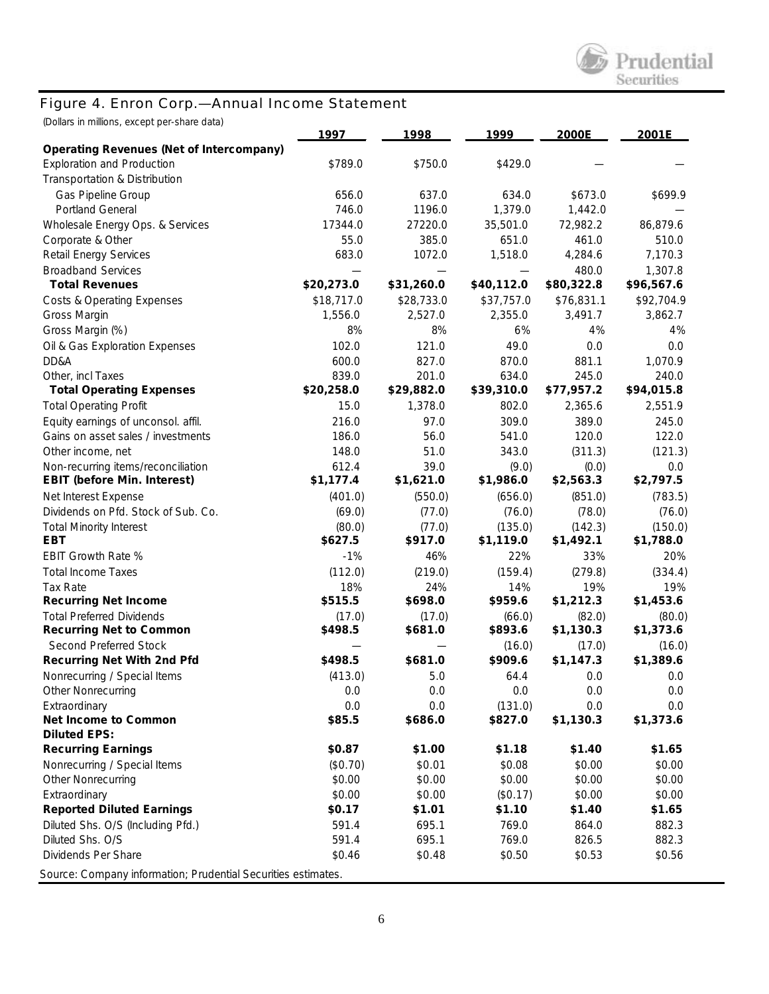

# *Figure 4. Enron Corp.—Annual Income Statement*

| (Dollars in millions, except per-share data)                  |            |            |            |            |            |
|---------------------------------------------------------------|------------|------------|------------|------------|------------|
| <b>Operating Revenues (Net of Intercompany)</b>               | 1997       | 1998       | 1999       | 2000E      | 2001E      |
| <b>Exploration and Production</b>                             | \$789.0    | \$750.0    | \$429.0    |            |            |
| Transportation & Distribution                                 |            |            |            |            |            |
| Gas Pipeline Group                                            | 656.0      | 637.0      | 634.0      | \$673.0    | \$699.9    |
| <b>Portland General</b>                                       | 746.0      | 1196.0     | 1,379.0    | 1,442.0    |            |
| Wholesale Energy Ops. & Services                              | 17344.0    | 27220.0    | 35,501.0   | 72,982.2   | 86,879.6   |
| Corporate & Other                                             | 55.0       | 385.0      | 651.0      | 461.0      | 510.0      |
| Retail Energy Services                                        | 683.0      | 1072.0     | 1,518.0    | 4,284.6    | 7,170.3    |
| <b>Broadband Services</b>                                     |            |            |            | 480.0      | 1,307.8    |
| <b>Total Revenues</b>                                         | \$20,273.0 | \$31,260.0 | \$40,112.0 | \$80,322.8 | \$96,567.6 |
| <b>Costs &amp; Operating Expenses</b>                         | \$18,717.0 | \$28,733.0 | \$37,757.0 | \$76,831.1 | \$92,704.9 |
| Gross Margin                                                  | 1,556.0    | 2,527.0    | 2,355.0    | 3,491.7    | 3,862.7    |
| Gross Margin (%)                                              | 8%         | 8%         | 6%         | 4%         | 4%         |
| Oil & Gas Exploration Expenses                                | 102.0      | 121.0      | 49.0       | 0.0        | 0.0        |
| DD&A                                                          | 600.0      | 827.0      | 870.0      | 881.1      | 1,070.9    |
| Other, incl Taxes                                             | 839.0      | 201.0      | 634.0      | 245.0      | 240.0      |
| <b>Total Operating Expenses</b>                               | \$20,258.0 | \$29,882.0 | \$39,310.0 | \$77,957.2 | \$94,015.8 |
| <b>Total Operating Profit</b>                                 | 15.0       | 1,378.0    | 802.0      | 2,365.6    | 2,551.9    |
| Equity earnings of unconsol. affil.                           | 216.0      | 97.0       | 309.0      | 389.0      | 245.0      |
| Gains on asset sales / investments                            | 186.0      | 56.0       | 541.0      | 120.0      | 122.0      |
| Other income, net                                             | 148.0      | 51.0       | 343.0      | (311.3)    | (121.3)    |
| Non-recurring items/reconciliation                            | 612.4      | 39.0       | (9.0)      | (0.0)      | 0.0        |
| <b>EBIT (before Min. Interest)</b>                            | \$1,177.4  | \$1,621.0  | \$1,986.0  | \$2,563.3  | \$2,797.5  |
| Net Interest Expense                                          | (401.0)    | (550.0)    | (656.0)    | (851.0)    | (783.5)    |
| Dividends on Pfd. Stock of Sub. Co.                           | (69.0)     | (77.0)     | (76.0)     | (78.0)     | (76.0)     |
| <b>Total Minority Interest</b>                                | (80.0)     | (77.0)     | (135.0)    | (142.3)    | (150.0)    |
| <b>EBT</b>                                                    | \$627.5    | \$917.0    | \$1,119.0  | \$1,492.1  | \$1,788.0  |
| EBIT Growth Rate %                                            | $-1%$      | 46%        | 22%        | 33%        | 20%        |
| <b>Total Income Taxes</b>                                     | (112.0)    | (219.0)    | (159.4)    | (279.8)    | (334.4)    |
| Tax Rate                                                      | 18%        | 24%        | 14%        | 19%        | 19%        |
| <b>Recurring Net Income</b>                                   | \$515.5    | \$698.0    | \$959.6    | \$1,212.3  | \$1,453.6  |
| <b>Total Preferred Dividends</b>                              | (17.0)     | (17.0)     | (66.0)     | (82.0)     | (80.0)     |
| <b>Recurring Net to Common</b>                                | \$498.5    | \$681.0    | \$893.6    | \$1,130.3  | \$1,373.6  |
| Second Preferred Stock                                        |            |            | (16.0)     | (17.0)     | (16.0)     |
| <b>Recurring Net With 2nd Pfd</b>                             | \$498.5    | \$681.0    | \$909.6    | \$1,147.3  | \$1,389.6  |
| Nonrecurring / Special Items                                  | (413.0)    | 5.0        | 64.4       | 0.0        | 0.0        |
| <b>Other Nonrecurring</b>                                     | 0.0        | 0.0        | 0.0        | 0.0        | 0.0        |
| Extraordinary                                                 | 0.0        | 0.0        | (131.0)    | 0.0        | 0.0        |
| Net Income to Common                                          | \$85.5     | \$686.0    | \$827.0    | \$1,130.3  | \$1,373.6  |
| <b>Diluted EPS:</b>                                           |            |            |            |            |            |
| <b>Recurring Earnings</b>                                     | \$0.87     | \$1.00     | \$1.18     | \$1.40     | \$1.65     |
| Nonrecurring / Special Items                                  | (\$0.70)   | \$0.01     | \$0.08     | \$0.00     | \$0.00     |
| <b>Other Nonrecurring</b>                                     | \$0.00     | \$0.00     | \$0.00     | \$0.00     | \$0.00     |
| Extraordinary                                                 | \$0.00     | \$0.00     | (\$0.17)   | \$0.00     | \$0.00     |
| <b>Reported Diluted Earnings</b>                              | \$0.17     | \$1.01     | \$1.10     | \$1.40     | \$1.65     |
| Diluted Shs. O/S (Including Pfd.)                             | 591.4      | 695.1      | 769.0      | 864.0      | 882.3      |
| Diluted Shs. O/S                                              | 591.4      | 695.1      | 769.0      | 826.5      | 882.3      |
| Dividends Per Share                                           | \$0.46     | \$0.48     | \$0.50     | \$0.53     | \$0.56     |
| Source: Company information; Prudential Securities estimates. |            |            |            |            |            |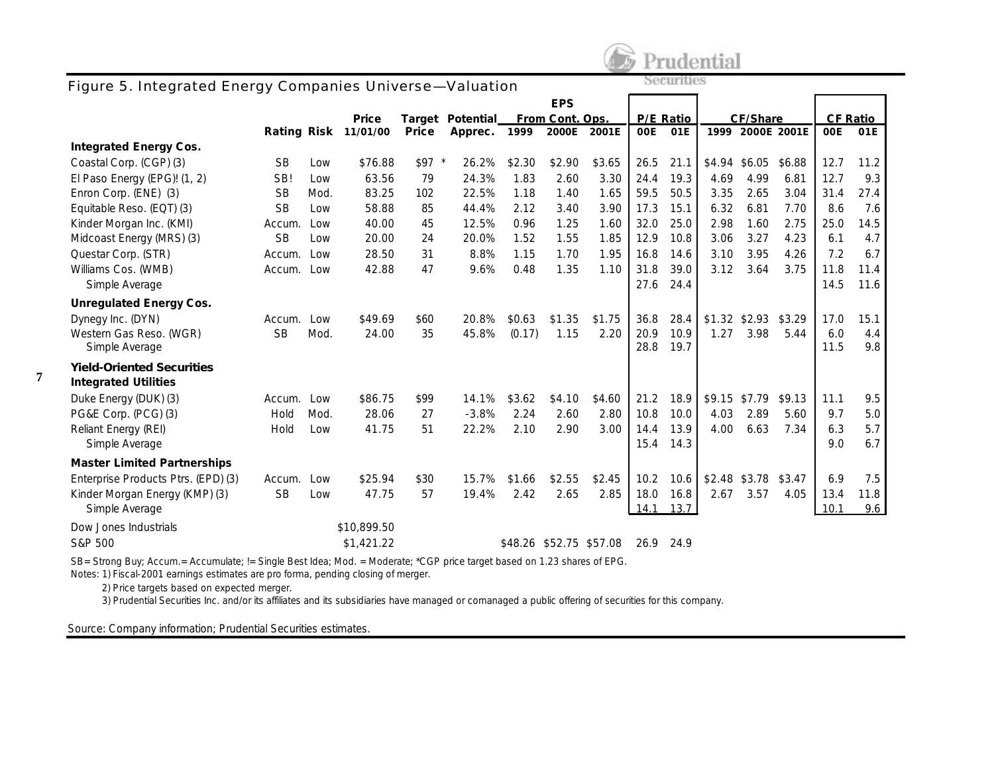

### *Figure 5. Integrated Energy Companies Universe—Valuation*

| rigule 5. integrated Energy Companies Only erse—valuation |           |      |                      |         |                  |        |                         |        |           |      |          |                  |                 |      |      |
|-----------------------------------------------------------|-----------|------|----------------------|---------|------------------|--------|-------------------------|--------|-----------|------|----------|------------------|-----------------|------|------|
|                                                           |           |      |                      |         |                  |        | <b>EPS</b>              |        |           |      |          |                  |                 |      |      |
|                                                           |           |      | Price                |         | Target Potential |        | From Cont. Ops.         |        | P/E Ratio |      | CF/Share |                  | <b>CF Ratio</b> |      |      |
|                                                           |           |      | Rating Risk 11/01/00 | Price   | Apprec.          | 1999   | 2000E                   | 2001E  | 00E       | 01E  |          | 1999 2000E 2001E |                 | 00E  | 01E  |
| <b>Integrated Energy Cos.</b>                             |           |      |                      |         |                  |        |                         |        |           |      |          |                  |                 |      |      |
| Coastal Corp. (CGP) (3)                                   | <b>SB</b> | Low  | \$76.88              | $$97$ * | 26.2%            | \$2.30 | \$2.90                  | \$3.65 | 26.5      | 21.1 |          | \$4.94 \$6.05    | \$6.88          | 12.7 | 11.2 |
| El Paso Energy (EPG)! (1, 2)                              | SB!       | Low  | 63.56                | 79      | 24.3%            | 1.83   | 2.60                    | 3.30   | 24.4      | 19.3 | 4.69     | 4.99             | 6.81            | 12.7 | 9.3  |
| Enron Corp. (ENE) (3)                                     | <b>SB</b> | Mod. | 83.25                | 102     | 22.5%            | 1.18   | 1.40                    | 1.65   | 59.5      | 50.5 | 3.35     | 2.65             | 3.04            | 31.4 | 27.4 |
| Equitable Reso. (EQT) (3)                                 | <b>SB</b> | Low  | 58.88                | 85      | 44.4%            | 2.12   | 3.40                    | 3.90   | 17.3      | 15.1 | 6.32     | 6.81             | 7.70            | 8.6  | 7.6  |
| Kinder Morgan Inc. (KMI)                                  | Accum.    | Low  | 40.00                | 45      | 12.5%            | 0.96   | 1.25                    | 1.60   | 32.0      | 25.0 | 2.98     | 1.60             | 2.75            | 25.0 | 14.5 |
| Midcoast Energy (MRS) (3)                                 | <b>SB</b> | Low  | 20.00                | 24      | 20.0%            | 1.52   | 1.55                    | 1.85   | 12.9      | 10.8 | 3.06     | 3.27             | 4.23            | 6.1  | 4.7  |
| Questar Corp. (STR)                                       | Accum.    | Low  | 28.50                | 31      | 8.8%             | 1.15   | 1.70                    | 1.95   | 16.8      | 14.6 | 3.10     | 3.95             | 4.26            | 7.2  | 6.7  |
| Williams Cos. (WMB)                                       | Accum.    | Low  | 42.88                | 47      | 9.6%             | 0.48   | 1.35                    | 1.10   | 31.8      | 39.0 | 3.12     | 3.64             | 3.75            | 11.8 | 11.4 |
| Simple Average                                            |           |      |                      |         |                  |        |                         |        | 27.6      | 24.4 |          |                  |                 | 14.5 | 11.6 |
| <b>Unregulated Energy Cos.</b>                            |           |      |                      |         |                  |        |                         |        |           |      |          |                  |                 |      |      |
| Dynegy Inc. (DYN)                                         | Accum.    | Low  | \$49.69              | \$60    | 20.8%            | \$0.63 | \$1.35                  | \$1.75 | 36.8      | 28.4 |          | $$1.32$ \$2.93   | \$3.29          | 17.0 | 15.1 |
| Western Gas Reso. (WGR)                                   | <b>SB</b> | Mod. | 24.00                | 35      | 45.8%            | (0.17) | 1.15                    | 2.20   | 20.9      | 10.9 | 1.27     | 3.98             | 5.44            | 6.0  | 4.4  |
| Simple Average                                            |           |      |                      |         |                  |        |                         |        | 28.8      | 19.7 |          |                  |                 | 11.5 | 9.8  |
| <b>Yield-Oriented Securities</b>                          |           |      |                      |         |                  |        |                         |        |           |      |          |                  |                 |      |      |
| <b>Integrated Utilities</b>                               |           |      |                      |         |                  |        |                         |        |           |      |          |                  |                 |      |      |
| Duke Energy (DUK) (3)                                     | Accum.    | Low  | \$86.75              | \$99    | 14.1%            | \$3.62 | \$4.10                  | \$4.60 | 21.2      | 18.9 | \$9.15   | \$7.79           | \$9.13          | 11.1 | 9.5  |
| PG&E Corp. (PCG) (3)                                      | Hold      | Mod. | 28.06                | 27      | $-3.8%$          | 2.24   | 2.60                    | 2.80   | 10.8      | 10.0 | 4.03     | 2.89             | 5.60            | 9.7  | 5.0  |
| Reliant Energy (REI)                                      | Hold      | Low  | 41.75                | 51      | 22.2%            | 2.10   | 2.90                    | 3.00   | 14.4      | 13.9 | 4.00     | 6.63             | 7.34            | 6.3  | 5.7  |
| Simple Average                                            |           |      |                      |         |                  |        |                         |        | 15.4      | 14.3 |          |                  |                 | 9.0  | 6.7  |
| <b>Master Limited Partnerships</b>                        |           |      |                      |         |                  |        |                         |        |           |      |          |                  |                 |      |      |
| Enterprise Products Ptrs. (EPD) (3)                       | Accum.    | Low  | \$25.94              | \$30    | 15.7%            | \$1.66 | \$2.55                  | \$2.45 | 10.2      | 10.6 | \$2.48   | \$3.78           | \$3.47          | 6.9  | 7.5  |
| Kinder Morgan Energy (KMP) (3)                            | <b>SB</b> | Low  | 47.75                | 57      | 19.4%            | 2.42   | 2.65                    | 2.85   | 18.0      | 16.8 | 2.67     | 3.57             | 4.05            | 13.4 | 11.8 |
| Simple Average                                            |           |      |                      |         |                  |        |                         |        | 14.1      | 13.7 |          |                  |                 | 10.1 | 9.6  |
| Dow Jones Industrials                                     |           |      | \$10,899.50          |         |                  |        |                         |        |           |      |          |                  |                 |      |      |
| S&P 500                                                   |           |      | \$1,421.22           |         |                  |        | \$48.26 \$52.75 \$57.08 |        | 26.9      | 24.9 |          |                  |                 |      |      |

SB= Strong Buy; Accum.= Accumulate; != Single Best Idea; Mod. = Moderate; \*CGP price target based on 1.23 shares of EPG.

Notes: 1) Fiscal-2001 earnings estimates are pro forma, pending closing of merger.

2) Price targets based on expected merger.

**7**

3) Prudential Securities Inc. and/or its affiliates and its subsidiaries have managed or comanaged a public offering of securities for this company.

Source: Company information; Prudential Securities estimates.